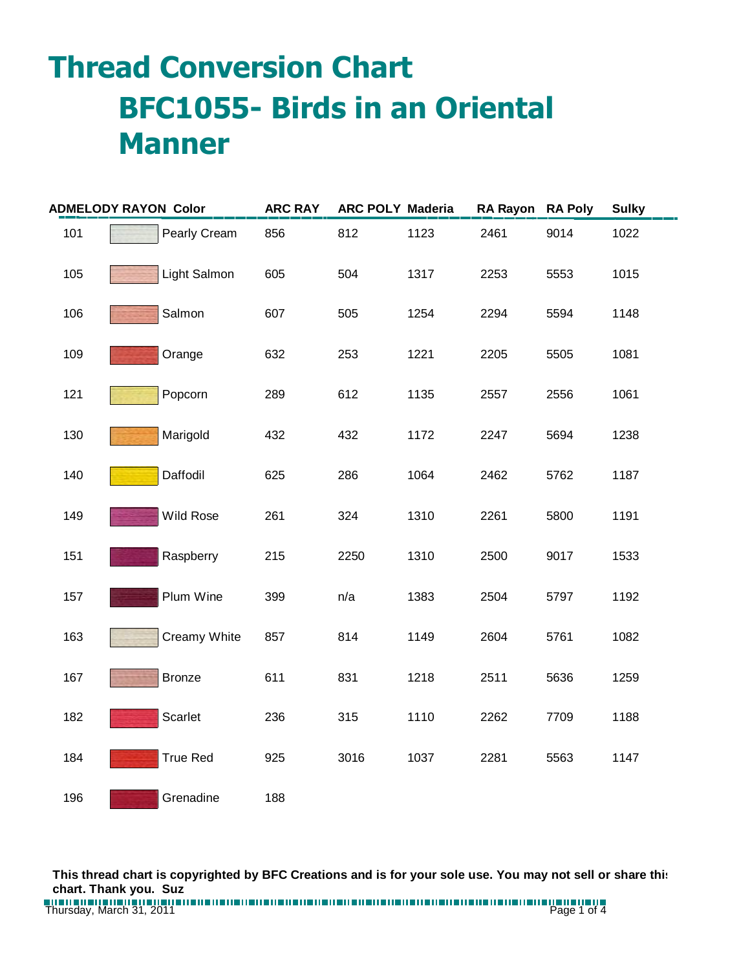## **Thread Conversion Chart BFC1055- Birds in an Oriental Manner**

| <b>ADMELODY RAYON Color</b> |                 | <b>ARC RAY</b> |      | <b>ARC POLY Maderia</b> | RA Rayon RA Poly |      | <b>Sulky</b> |
|-----------------------------|-----------------|----------------|------|-------------------------|------------------|------|--------------|
| 101                         | Pearly Cream    | 856            | 812  | 1123                    | 2461             | 9014 | 1022         |
| 105                         | Light Salmon    | 605            | 504  | 1317                    | 2253             | 5553 | 1015         |
| 106                         | Salmon          | 607            | 505  | 1254                    | 2294             | 5594 | 1148         |
| 109                         | Orange          | 632            | 253  | 1221                    | 2205             | 5505 | 1081         |
| 121                         | Popcorn         | 289            | 612  | 1135                    | 2557             | 2556 | 1061         |
| 130                         | Marigold        | 432            | 432  | 1172                    | 2247             | 5694 | 1238         |
| 140                         | Daffodil        | 625            | 286  | 1064                    | 2462             | 5762 | 1187         |
| 149                         | Wild Rose       | 261            | 324  | 1310                    | 2261             | 5800 | 1191         |
| 151                         | Raspberry       | 215            | 2250 | 1310                    | 2500             | 9017 | 1533         |
| 157                         | Plum Wine       | 399            | n/a  | 1383                    | 2504             | 5797 | 1192         |
| 163                         | Creamy White    | 857            | 814  | 1149                    | 2604             | 5761 | 1082         |
| 167                         | <b>Bronze</b>   | 611            | 831  | 1218                    | 2511             | 5636 | 1259         |
| 182                         | Scarlet         | 236            | 315  | 1110                    | 2262             | 7709 | 1188         |
| 184                         | <b>True Red</b> | 925            | 3016 | 1037                    | 2281             | 5563 | 1147         |
| 196                         | Grenadine       | 188            |      |                         |                  |      |              |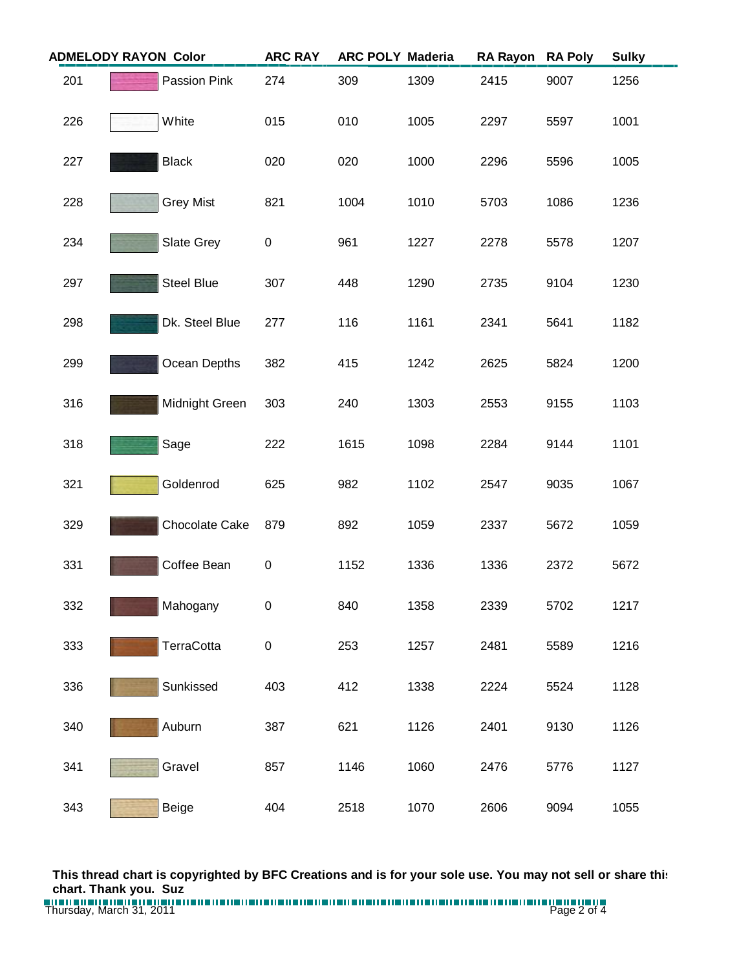| <b>ADMELODY RAYON Color</b> |                   | <b>ARC RAY</b> | <b>ARC POLY Maderia</b> |      | <b>RA Rayon</b> | <b>RA Poly</b> | <b>Sulky</b> |
|-----------------------------|-------------------|----------------|-------------------------|------|-----------------|----------------|--------------|
| 201                         | Passion Pink      | 274            | 309                     | 1309 | 2415            | 9007           | 1256         |
| 226                         | White             | 015            | 010                     | 1005 | 2297            | 5597           | 1001         |
| 227                         | <b>Black</b>      | 020            | 020                     | 1000 | 2296            | 5596           | 1005         |
| 228                         | <b>Grey Mist</b>  | 821            | 1004                    | 1010 | 5703            | 1086           | 1236         |
| 234                         | Slate Grey        | 0              | 961                     | 1227 | 2278            | 5578           | 1207         |
| 297                         | <b>Steel Blue</b> | 307            | 448                     | 1290 | 2735            | 9104           | 1230         |
| 298                         | Dk. Steel Blue    | 277            | 116                     | 1161 | 2341            | 5641           | 1182         |
| 299                         | Ocean Depths      | 382            | 415                     | 1242 | 2625            | 5824           | 1200         |
| 316                         | Midnight Green    | 303            | 240                     | 1303 | 2553            | 9155           | 1103         |
| 318                         | Sage              | 222            | 1615                    | 1098 | 2284            | 9144           | 1101         |
| 321                         | Goldenrod         | 625            | 982                     | 1102 | 2547            | 9035           | 1067         |
| 329                         | Chocolate Cake    | 879            | 892                     | 1059 | 2337            | 5672           | 1059         |
| 331                         | Coffee Bean       | $\pmb{0}$      | 1152                    | 1336 | 1336            | 2372           | 5672         |
| 332                         | Mahogany          | $\pmb{0}$      | 840                     | 1358 | 2339            | 5702           | 1217         |
| 333                         | TerraCotta        | $\pmb{0}$      | 253                     | 1257 | 2481            | 5589           | 1216         |
| 336                         | Sunkissed         | 403            | 412                     | 1338 | 2224            | 5524           | 1128         |
| 340                         | Auburn            | 387            | 621                     | 1126 | 2401            | 9130           | 1126         |
| 341                         | Gravel            | 857            | 1146                    | 1060 | 2476            | 5776           | 1127         |
| 343                         | <b>Beige</b>      | 404            | 2518                    | 1070 | 2606            | 9094           | 1055         |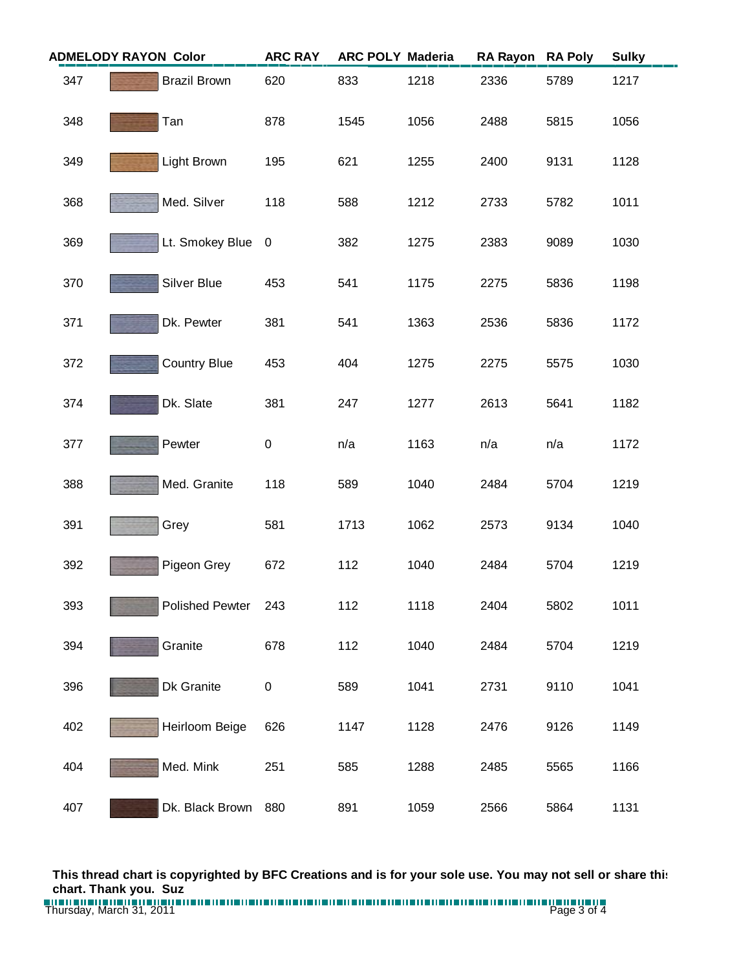| <b>ADMELODY RAYON Color</b> |                        | <b>ARC RAY</b> | <b>ARC POLY Maderia</b> |      | <b>RA Rayon</b> | <b>RA Poly</b> | <b>Sulky</b> |
|-----------------------------|------------------------|----------------|-------------------------|------|-----------------|----------------|--------------|
| 347                         | <b>Brazil Brown</b>    | 620            | 833                     | 1218 | 2336            | 5789           | 1217         |
| 348                         | Tan                    | 878            | 1545                    | 1056 | 2488            | 5815           | 1056         |
| 349                         | Light Brown            | 195            | 621                     | 1255 | 2400            | 9131           | 1128         |
| 368                         | Med. Silver            | 118            | 588                     | 1212 | 2733            | 5782           | 1011         |
| 369                         | Lt. Smokey Blue        | $\overline{0}$ | 382                     | 1275 | 2383            | 9089           | 1030         |
| 370                         | Silver Blue            | 453            | 541                     | 1175 | 2275            | 5836           | 1198         |
| 371                         | Dk. Pewter             | 381            | 541                     | 1363 | 2536            | 5836           | 1172         |
| 372                         | <b>Country Blue</b>    | 453            | 404                     | 1275 | 2275            | 5575           | 1030         |
| 374                         | Dk. Slate              | 381            | 247                     | 1277 | 2613            | 5641           | 1182         |
| 377                         | Pewter                 | $\pmb{0}$      | n/a                     | 1163 | n/a             | n/a            | 1172         |
| 388                         | Med. Granite           | 118            | 589                     | 1040 | 2484            | 5704           | 1219         |
| 391                         | Grey                   | 581            | 1713                    | 1062 | 2573            | 9134           | 1040         |
| 392                         | Pigeon Grey            | 672            | 112                     | 1040 | 2484            | 5704           | 1219         |
| 393                         | <b>Polished Pewter</b> | 243            | 112                     | 1118 | 2404            | 5802           | 1011         |
| 394                         | Granite                | 678            | 112                     | 1040 | 2484            | 5704           | 1219         |
| 396                         | Dk Granite             | 0              | 589                     | 1041 | 2731            | 9110           | 1041         |
| 402                         | Heirloom Beige         | 626            | 1147                    | 1128 | 2476            | 9126           | 1149         |
| 404                         | Med. Mink              | 251            | 585                     | 1288 | 2485            | 5565           | 1166         |
| 407                         | Dk. Black Brown        | 880            | 891                     | 1059 | 2566            | 5864           | 1131         |